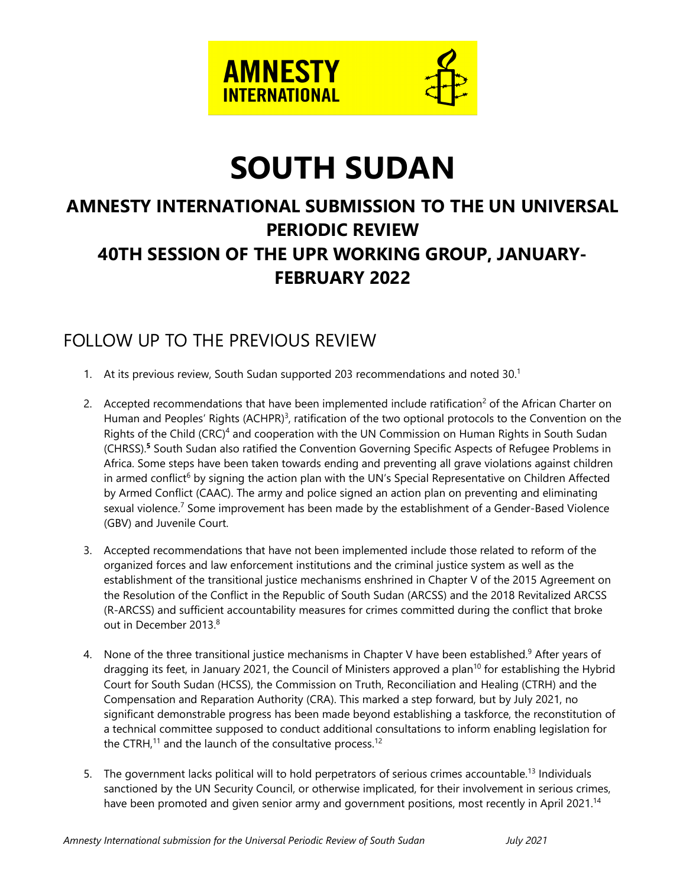

# **SOUTH SUDAN**

## **AMNESTY INTERNATIONAL SUBMISSION TO THE UN UNIVERSAL PERIODIC REVIEW 40TH SESSION OF THE UPR WORKING GROUP, JANUARY-FEBRUARY 2022**

### FOLLOW UP TO THE PREVIOUS REVIEW

- 1. At its previous review, South Sudan supported 203 recommendations and noted 30. 1
- 2.  $\,$  Accepted recommendations that have been implemented include ratification<sup>2</sup> of the African Charter on Human and Peoples' Rights (ACHPR)<sup>3</sup>, ratification of the two optional protocols to the Convention on the Rights of the Child (CRC)<sup>4</sup> and cooperation with the UN Commission on Human Rights in South Sudan (CHRSS). **5** South Sudan also ratified the Convention Governing Specific Aspects of Refugee Problems in Africa. Some steps have been taken towards ending and preventing all grave violations against children in armed conflict<sup>6</sup> by signing the action plan with the UN's Special Representative on Children Affected by Armed Conflict (CAAC). The army and police signed an action plan on preventing and eliminating sexual violence.<sup>7</sup> Some improvement has been made by the establishment of a Gender-Based Violence (GBV) and Juvenile Court.
- 3. Accepted recommendations that have not been implemented include those related to reform of the organized forces and law enforcement institutions and the criminal justice system as well as the establishment of the transitional justice mechanisms enshrined in Chapter V of the 2015 Agreement on the Resolution of the Conflict in the Republic of South Sudan (ARCSS) and the 2018 Revitalized ARCSS (R-ARCSS) and sufficient accountability measures for crimes committed during the conflict that broke out in December 2013. 8
- 4. None of the three transitional justice mechanisms in Chapter V have been established.<sup>9</sup> After years of dragging its feet, in January 2021, the Council of Ministers approved a plan<sup>10</sup> for establishing the Hybrid Court for South Sudan (HCSS), the Commission on Truth, Reconciliation and Healing (CTRH) and the Compensation and Reparation Authority (CRA). This marked <sup>a</sup> step forward, but by July 2021, no significant demonstrable progress has been made beyond establishing <sup>a</sup> taskforce, the reconstitution of <sup>a</sup> technical committee supposed to conduct additional consultations to inform enabling legislation for the CTRH,<sup>11</sup> and the launch of the consultative process.<sup>12</sup>
- 5. The governmen<sup>t</sup> lacks political will to hold perpetrators of serious crimes accountable. 13 Individuals sanctioned by the UN Security Council, or otherwise implicated, for their involvement in serious crimes, have been promoted and given senior army and government positions, most recently in April 2021.<sup>14</sup>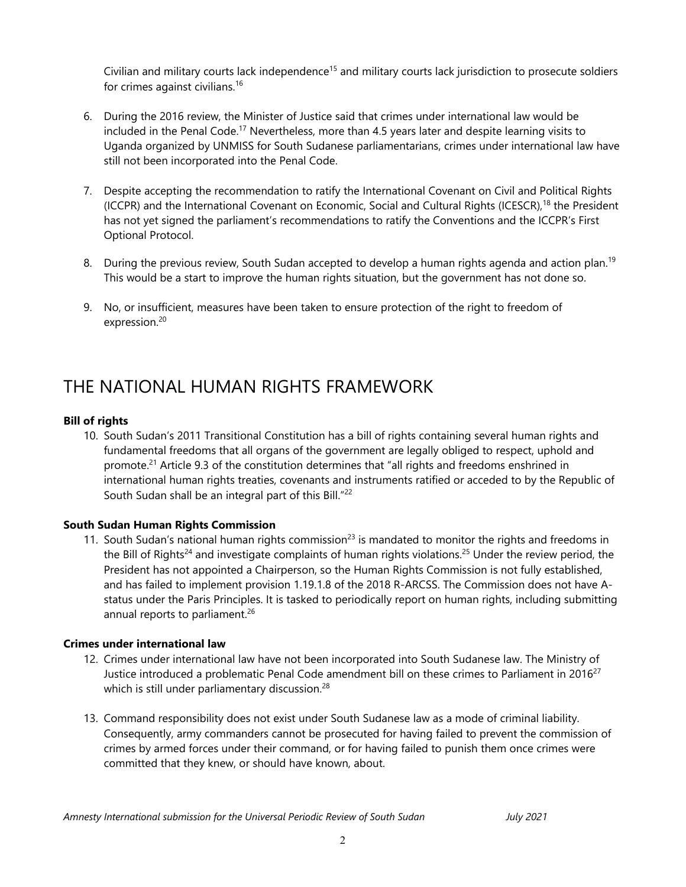Civilian and military courts lack independence<sup>15</sup> and military courts lack jurisdiction to prosecute soldiers for crimes against civilians. 16

- 6. During the 2016 review, the Minister of Justice said that crimes under international law would be included in the Penal Code.<sup>17</sup> Nevertheless, more than 4.5 years later and despite learning visits to Uganda organized by UNMISS for South Sudanese parliamentarians, crimes under international law have still not been incorporated into the Penal Code.
- 7. Despite accepting the recommendation to ratify the International Covenant on Civil and Political Rights (ICCPR) and the International Covenant on Economic, Social and Cultural Rights (ICESCR),<sup>18</sup> the President has not ye<sup>t</sup> signed the parliament'<sup>s</sup> recommendations to ratify the Conventions and the ICCPR'<sup>s</sup> First Optional Protocol.
- 8. During the previous review, South Sudan accepted to develop a human rights agenda and action plan.<sup>19</sup> This would be <sup>a</sup> start to improve the human rights situation, but the governmen<sup>t</sup> has not done so.
- 9. No, or insufficient, measures have been taken to ensure protection of the right to freedom of expression. 20

### THE NATIONAL HUMAN RIGHTS FRAMEWORK

#### **Bill of rights**

10. South Sudan'<sup>s</sup> 2011 Transitional Constitution has <sup>a</sup> bill of rights containing several human rights and fundamental freedoms that all organs of the governmen<sup>t</sup> are legally obliged to respect, uphold and promote.<sup>21</sup> Article 9.3 of the constitution determines that "all rights and freedoms enshrined in international human rights treaties, covenants and instruments ratified or acceded to by the Republic of South Sudan shall be an integral part of this Bill." 22

#### **South Sudan Human Rights Commission**

11. South Sudan's national human rights commission $^{23}$  is mandated to monitor the rights and freedoms in the Bill of Rights<sup>24</sup> and investigate complaints of human rights violations.<sup>25</sup> Under the review period, the President has not appointed <sup>a</sup> Chairperson, so the Human Rights Commission is not fully established, and has failed to implement provision 1.19.1.8 of the 2018 R-ARCSS. The Commission does not have Astatus under the Paris Principles. It is tasked to periodically report on human rights, including submitting annual reports to parliament.<sup>26</sup>

#### **Crimes under international law**

- 12. Crimes under international law have not been incorporated into South Sudanese law. The Ministry of Justice introduced a problematic Penal Code amendment bill on these crimes to Parliament in  $2016^{27}$ which is still under parliamentary discussion. 28
- 13. Command responsibility does not exist under South Sudanese law as <sup>a</sup> mode of criminal liability. Consequently, army commanders cannot be prosecuted for having failed to prevent the commission of crimes by armed forces under their command, or for having failed to punish them once crimes were committed that they knew, or should have known, about.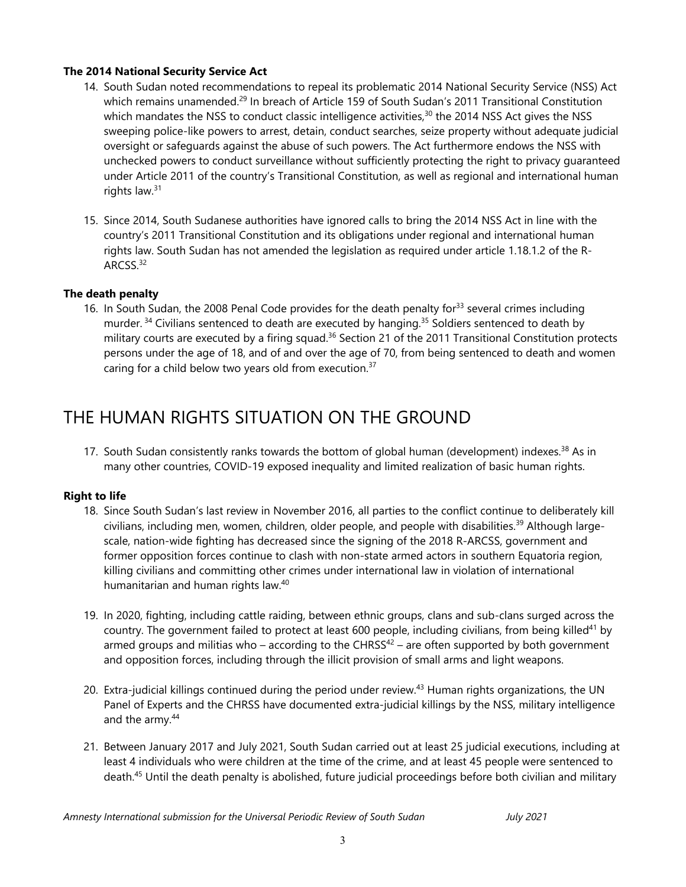#### **The 2014 National Security Service Act**

- 14. South Sudan noted recommendations to repeal its problematic 2014 National Security Service (NSS) Act which remains unamended.<sup>29</sup> In breach of Article 159 of South Sudan's 2011 Transitional Constitution which mandates the NSS to conduct classic intelligence activities,<sup>30</sup> the 2014 NSS Act gives the NSS sweeping police-like powers to arrest, detain, conduct searches, seize property without adequate judicial oversight or safeguards against the abuse of such powers. The Act furthermore endows the NSS with unchecked powers to conduct surveillance without sufficiently protecting the right to privacy guaranteed under Article 2011 of the country'<sup>s</sup> Transitional Constitution, as well as regional and international human rights law.<sup>31</sup>
- 15. Since 2014, South Sudanese authorities have ignored calls to bring the 2014 NSS Act in line with the country'<sup>s</sup> 2011 Transitional Constitution and its obligations under regional and international human rights law. South Sudan has not amended the legislation as required under article 1.18.1.2 of the R- $\mathsf{ARCSS.}^{32}$

#### **The death penalty**

16. In South Sudan, the 2008 Penal Code provides for the death penalty for $^{\rm 33}$  several crimes including murder. <sup>34</sup> Civilians sentenced to death are executed by hanging.<sup>35</sup> Soldiers sentenced to death by military courts are executed by a firing squad.<sup>36</sup> Section 21 of the 2011 Transitional Constitution protects persons under the age of 18, and of and over the age of 70, from being sentenced to death and women caring for <sup>a</sup> child below two years old from execution. 37

### THE HUMAN RIGHTS SITUATION ON THE GROUND

17. South Sudan consistently ranks towards the bottom of global human (development) indexes. $^\mathrm{38}$  As in many other countries, COVID-19 exposed inequality and limited realization of basic human rights.

#### **Right to life**

- 18. Since South Sudan'<sup>s</sup> last review in November 2016, all parties to the conflict continue to deliberately kill civilians, including men, women, children, older people, and people with disabilities.<sup>39</sup> Although largescale, nation-wide fighting has decreased since the signing of the 2018 R-ARCSS, governmen<sup>t</sup> and former opposition forces continue to clash with non-state armed actors in southern Equatoria region, killing civilians and committing other crimes under international law in violation of international humanitarian and human rights law. 40
- 19. In 2020, fighting, including cattle raiding, between ethnic groups, clans and sub-clans surged across the country. The government failed to protect at least 600 people, including civilians, from being killed $^\mathrm{41}$  by armed groups and militias who – according to the CHRSS $^{42}$  – are often supported by both government and opposition forces, including through the illicit provision of small arms and light weapons.
- 20. Extra-judicial killings continued during the period under review. 43 Human rights organizations, the UN Panel of Experts and the CHRSS have documented extra-judicial killings by the NSS, military intelligence and the army. 44
- 21. Between January 2017 and July 2021, South Sudan carried out at least 25 judicial executions, including at least 4 individuals who were children at the time of the crime, and at least 45 people were sentenced to death. 45 Until the death penalty is abolished, future judicial proceedings before both civilian and military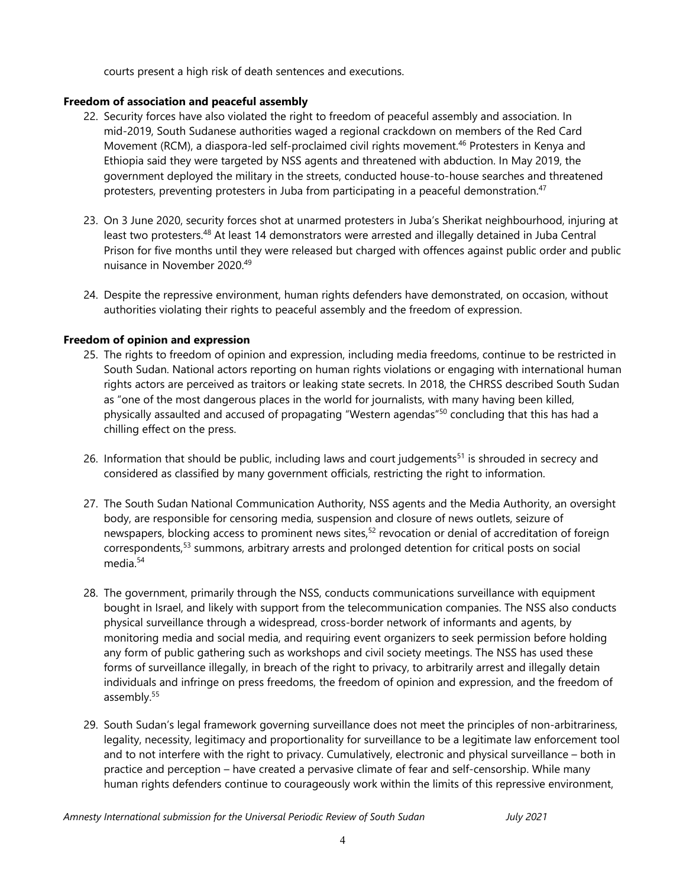courts present <sup>a</sup> high risk of death sentences and executions.

#### **Freedom of association and peaceful assembly**

- 22. Security forces have also violated the right to freedom of peaceful assembly and association. In mid-2019, South Sudanese authorities waged <sup>a</sup> regional crackdown on members of the Red Card Movement (RCM), <sup>a</sup> diaspora-led self-proclaimed civil rights movement. 46 Protesters in Kenya and Ethiopia said they were targeted by NSS agents and threatened with abduction. In May 2019, the governmen<sup>t</sup> deployed the military in the streets, conducted house-to-house searches and threatened protesters, preventing protesters in Juba from participating in a peaceful demonstration.<sup>47</sup>
- 23. On 3 June 2020, security forces shot at unarmed protesters in Juba'<sup>s</sup> Sherikat neighbourhood, injuring at least two protesters.<sup>48</sup> At least 14 demonstrators were arrested and illegally detained in Juba Central Prison for five months until they were released but charged with offences against public order and public nuisance in November 2020. 49
- 24. Despite the repressive environment, human rights defenders have demonstrated, on occasion, without authorities violating their rights to peaceful assembly and the freedom of expression.

#### **Freedom of opinion and expression**

- 25. The rights to freedom of opinion and expression, including media freedoms, continue to be restricted in South Sudan. National actors reporting on human rights violations or engaging with international human rights actors are perceived as traitors or leaking state secrets. In 2018, the CHRSS described South Sudan as "one of the most dangerous places in the world for journalists, with many having been killed, physically assaulted and accused of propagating "Western agendas"<sup>50</sup> concluding that this has had a chilling effect on the press.
- 26. Information that should be public, including laws and court judgements<sup>51</sup> is shrouded in secrecy and considered as classified by many governmen<sup>t</sup> officials, restricting the right to information.
- 27. The South Sudan National Communication Authority, NSS agents and the Media Authority, an oversight body, are responsible for censoring media, suspension and closure of news outlets, seizure of newspapers, blocking access to prominent news sites,<sup>52</sup> revocation or denial of accreditation of foreign correspondents,<sup>53</sup> summons, arbitrary arrests and prolonged detention for critical posts on social media. 54
- 28. The government, primarily through the NSS, conducts communications surveillance with equipment bought in Israel, and likely with support from the telecommunication companies. The NSS also conducts physical surveillance through <sup>a</sup> widespread, cross-border network of informants and agents, by monitoring media and social media, and requiring event organizers to seek permission before holding any form of public gathering such as workshops and civil society meetings. The NSS has used these forms of surveillance illegally, in breach of the right to privacy, to arbitrarily arrest and illegally detain individuals and infringe on press freedoms, the freedom of opinion and expression, and the freedom of assembly.<sup>55</sup>
- 29. South Sudan'<sup>s</sup> legal framework governing surveillance does not meet the principles of non-arbitrariness, legality, necessity, legitimacy and proportionality for surveillance to be <sup>a</sup> legitimate law enforcement tool and to not interfere with the right to privacy. Cumulatively, electronic and physical surveillance – both in practice and perception – have created <sup>a</sup> pervasive climate of fear and self-censorship. While many human rights defenders continue to courageously work within the limits of this repressive environment,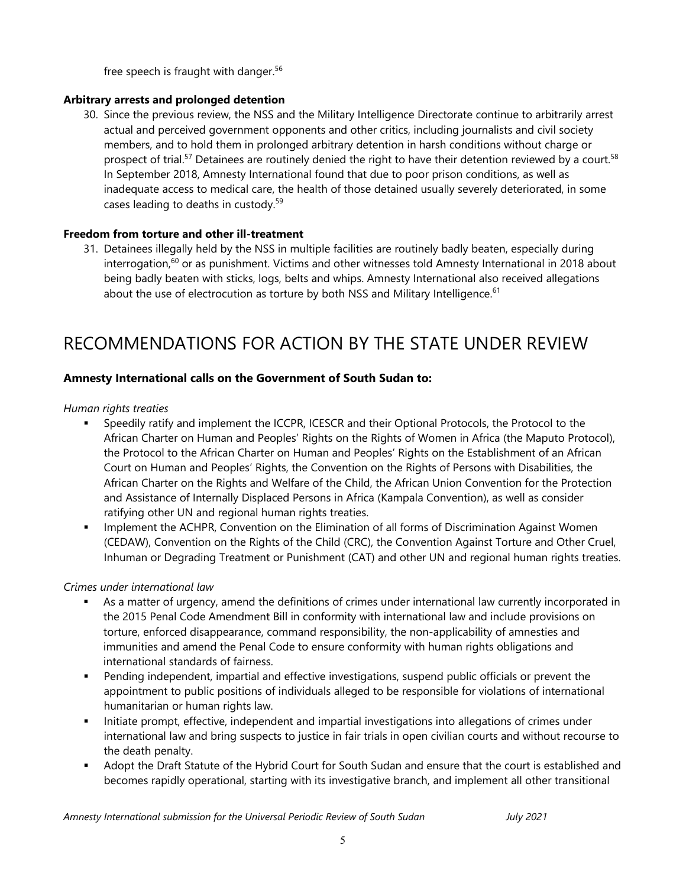free speech is fraught with danger. 56

#### **Arbitrary arrests and prolonged detention**

30. Since the previous review, the NSS and the Military Intelligence Directorate continue to arbitrarily arrest actual and perceived governmen<sup>t</sup> opponents and other critics, including journalists and civil society members, and to hold them in prolonged arbitrary detention in harsh conditions without charge or prospect of trial.<sup>57</sup> Detainees are routinely denied the right to have their detention reviewed by a court.<sup>58</sup> In September 2018, Amnesty International found that due to poor prison conditions, as well as inadequate access to medical care, the health of those detained usually severely deteriorated, in some cases leading to deaths in custody. 59

#### **Freedom from torture and other ill-treatment**

31. Detainees illegally held by the NSS in multiple facilities are routinely badly beaten, especially during interrogation,<sup>60</sup> or as punishment. Victims and other witnesses told Amnesty International in 2018 about being badly beaten with sticks, logs, belts and whips. Amnesty International also received allegations about the use of electrocution as torture by both NSS and Military Intelligence. $^{\rm 61}$ 

### RECOMMENDATIONS FOR ACTION BY THE STATE UNDER REVIEW

#### **Amnesty International calls on the Government of South Sudan to:**

#### *Human rights treaties*

П

- Speedily ratify and implement the ICCPR, ICESCR and their Optional Protocols, the Protocol to the African Charter on Human and Peoples' Rights on the Rights of Women in Africa (the Maputo Protocol), the Protocol to the African Charter on Human and Peoples' Rights on the Establishment of an African Court on Human and Peoples' Rights, the Convention on the Rights of Persons with Disabilities, the African Charter on the Rights and Welfare of the Child, the African Union Convention for the Protection and Assistance of Internally Displaced Persons in Africa (Kampala Convention), as well as consider ratifying other UN and regional human rights treaties.
- $\mathbf{u} = \mathbf{u}$  Implement the ACHPR, Convention on the Elimination of all forms of Discrimination Against Women (CEDAW), Convention on the Rights of the Child (CRC), the Convention Against Torture and Other Cruel, Inhuman or Degrading Treatment or Punishment (CAT) and other UN and regional human rights treaties.

#### *Crimes under international law*

- As <sup>a</sup> matter of urgency, amend the definitions of crimes under international law currently incorporated in the 2015 Penal Code Amendment Bill in conformity with international law and include provisions on torture, enforced disappearance, command responsibility, the non-applicability of amnesties and immunities and amend the Penal Code to ensure conformity with human rights obligations and international standards of fairness.
- Pending independent, impartial and effective investigations, suspend public officials or prevent the appointment to public positions of individuals alleged to be responsible for violations of international humanitarian or human rights law.
- $\mathbf{E}^{\text{max}}$  Initiate prompt, effective, independent and impartial investigations into allegations of crimes under international law and bring suspects to justice in fair trials in open civilian courts and without recourse to the death penalty.
- Adopt the Draft Statute of the Hybrid Court for South Sudan and ensure that the court is established and becomes rapidly operational, starting with its investigative branch, and implement all other transitional

*Amnesty International submission for the Universal Periodic Review of South Sudan July 2021*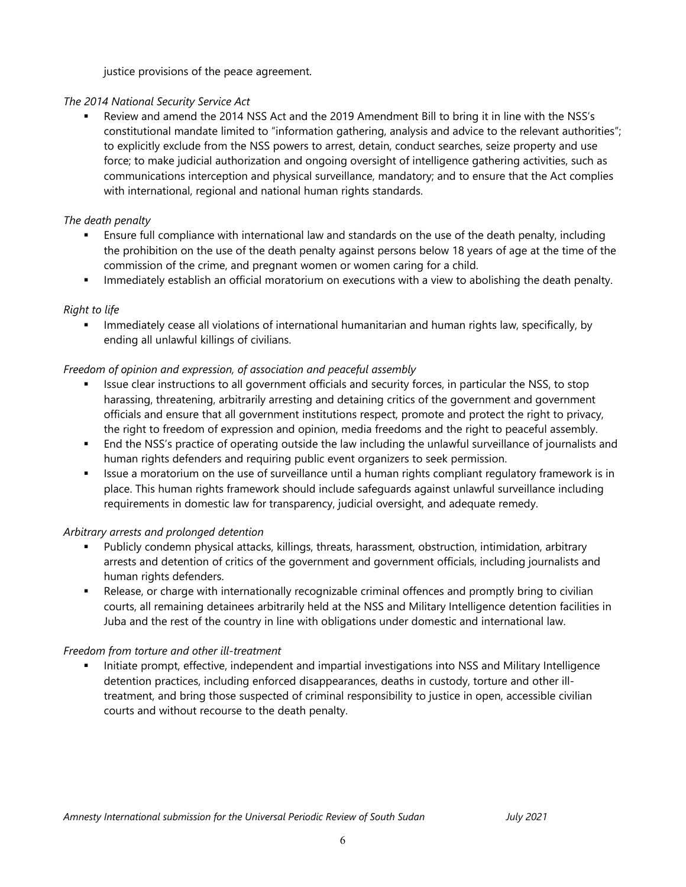justice provisions of the peace agreement.

#### *The 2014 National Security Service Act*

 $\blacksquare$  Review and amend the 2014 NSS Act and the 2019 Amendment Bill to bring it in line with the NSS'<sup>s</sup> constitutional mandate limited to "information gathering, analysis and advice to the relevant authorities"; to explicitly exclude from the NSS powers to arrest, detain, conduct searches, seize property and use force; to make judicial authorization and ongoing oversight of intelligence gathering activities, such as communications interception and physical surveillance, mandatory; and to ensure that the Act complies with international, regional and national human rights standards.

#### *The death penalty*

- П Ensure full compliance with international law and standards on the use of the death penalty, including the prohibition on the use of the death penalty against persons below 18 years of age at the time of the commission of the crime, and pregnan<sup>t</sup> women or women caring for <sup>a</sup> child.
- Immediately establish an official moratorium on executions with <sup>a</sup> view to abolishing the death penalty.

#### *Right to life*

 $\mathbf{u} = \mathbf{u}$  Immediately cease all violations of international humanitarian and human rights law, specifically, by ending all unlawful killings of civilians.

#### *Freedom of opinion and expression, of association and peaceful assembly*

- П Issue clear instructions to all governmen<sup>t</sup> officials and security forces, in particular the NSS, to stop harassing, threatening, arbitrarily arresting and detaining critics of the governmen<sup>t</sup> and governmen<sup>t</sup> officials and ensure that all governmen<sup>t</sup> institutions respect, promote and protect the right to privacy, the right to freedom of expression and opinion, media freedoms and the right to peaceful assembly.
- End the NSS'<sup>s</sup> practice of operating outside the law including the unlawful surveillance of journalists and human rights defenders and requiring public event organizers to seek permission.
- **ISSUE A moratorium on the use of surveillance until a human rights compliant regulatory framework is in** place. This human rights framework should include safeguards against unlawful surveillance including requirements in domestic law for transparency, judicial oversight, and adequate remedy.

#### *Arbitrary arrests and prolonged detention*

- Publicly condemn physical attacks, killings, threats, harassment, obstruction, intimidation, arbitrary arrests and detention of critics of the governmen<sup>t</sup> and governmen<sup>t</sup> officials, including journalists and human rights defenders.
- П Release, or charge with internationally recognizable criminal offences and promptly bring to civilian courts, all remaining detainees arbitrarily held at the NSS and Military Intelligence detention facilities in Juba and the rest of the country in line with obligations under domestic and international law.

#### *Freedom from torture and other ill-treatment*

 Initiate prompt, effective, independent and impartial investigations into NSS and Military Intelligence detention practices, including enforced disappearances, deaths in custody, torture and other illtreatment, and bring those suspected of criminal responsibility to justice in open, accessible civilian courts and without recourse to the death penalty.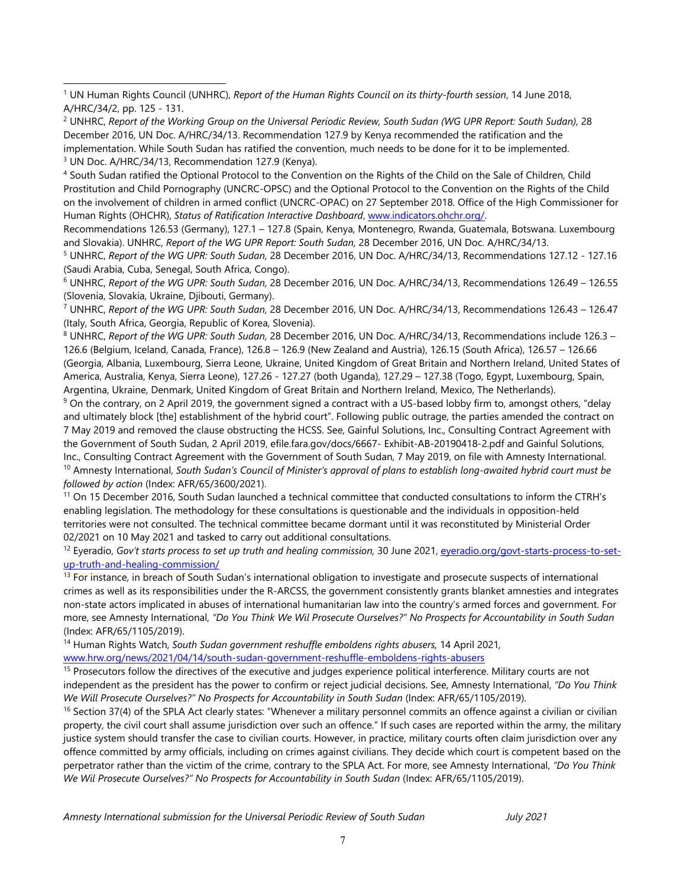4 South Sudan ratified the Optional Protocol to the Convention on the Rights of the Child on the Sale of Children, Child Prostitution and Child Pornography (UNCRC-OPSC) and the Optional Protocol to the Convention on the Rights of the Child on the involvement of children in armed conflict (UNCRC-OPAC) on 27 September 2018. Office of the High Commissioner for Human Rights (OHCHR), *Status of Ratification Interactive Dashboard*, [www.indicators.ohchr.org/](http://www.indicators.ohchr.org/).

Recommendations 126.53 (Germany), 127.1 – 127.8 (Spain, Kenya, Montenegro, Rwanda, Guatemala, Botswana. Luxembourg and Slovakia). UNHRC, *Report of the WG UPR Report: South Sudan,* 28 December 2016, UN Doc. A/HRC/34/13.

5 UNHRC, *Report of the WG UPR: South Sudan,* 28 December 2016, UN Doc. A/HRC/34/13, Recommendations 127.12 - 127.16 (Saudi Arabia, Cuba, Senegal, South Africa, Congo).

6 UNHRC, *Report of the WG UPR: South Sudan,* 28 December 2016, UN Doc. A/HRC/34/13, Recommendations 126.49 – 126.55 (Slovenia, Slovakia, Ukraine, Djibouti, Germany).

7 UNHRC, *Report of the WG UPR: South Sudan,* 28 December 2016, UN Doc. A/HRC/34/13, Recommendations 126.43 – 126.47 (Italy, South Africa, Georgia, Republic of Korea, Slovenia).

8 UNHRC, *Report of the WG UPR: South Sudan,* 28 December 2016, UN Doc. A/HRC/34/13, Recommendations include 126.3 – 126.6 (Belgium, Iceland, Canada, France), 126.8 – 126.9 (New Zealand and Austria), 126.15 (South Africa), 126.57 – 126.66 (Georgia, Albania, Luxembourg, Sierra Leone, Ukraine, United Kingdom of Great Britain and Northern Ireland, United States of America, Australia, Kenya, Sierra Leone), 127.26 - 127.27 (both Uganda), 127.29 – 127.38 (Togo, Egypt, Luxembourg, Spain, Argentina, Ukraine, Denmark, United Kingdom of Great Britain and Northern Ireland, Mexico, The Netherlands).

9 On the contrary, on 2 April 2019, the governmen<sup>t</sup> signed <sup>a</sup> contract with <sup>a</sup> US-based lobby firm to, amongs<sup>t</sup> others, "delay and ultimately block [the] establishment of the hybrid court". Following public outrage, the parties amended the contract on 7 May 2019 and removed the clause obstructing the HCSS. See, Gainful Solutions, Inc., Consulting Contract Agreement with the Government of South Sudan, 2 April 2019, efile.fara.gov/docs/6667- Exhibit-AB-20190418-2.pdf and Gainful Solutions, Inc., Consulting Contract Agreement with the Government of South Sudan, 7 May 2019, on file with Amnesty International.  $^{\rm 10}$  Amnesty International, South Sudan's Council of Minister's approval of plans to establish long-awaited hybrid court must be *followed by action* (Index: AFR/65/3600/2021).

<sup>11</sup> On 15 December 2016, South Sudan launched a technical committee that conducted consultations to inform the CTRH's enabling legislation. The methodology for these consultations is questionable and the individuals in opposition-held territories were not consulted. The technical committee became dormant until it was reconstituted by Ministerial Order 02/2021 on 10 May 2021 and tasked to carry out additional consultations.

12 Eyeradio, *Gov'<sup>t</sup> starts process to set up truth and healing commission,* 30 June 2021, [eyeradio.org/govt-starts-process-to-set](https://eyeradio.org/govt-starts-process-to-set-up-truth-and-healing-commission/)[up-truth-and-healing-commission/](https://eyeradio.org/govt-starts-process-to-set-up-truth-and-healing-commission/)

 $^{13}$  For instance, in breach of South Sudan's international obligation to investigate and prosecute suspects of international crimes as well as its responsibilities under the R-ARCSS, the governmen<sup>t</sup> consistently grants blanket amnesties and integrates non-state actors implicated in abuses of international humanitarian law into the country'<sup>s</sup> armed forces and government. For more, see Amnesty International, "Do You Think We Wil Prosecute Ourselves?" No Prospects for Accountability in South Sudan (Index: AFR/65/1105/2019).

14 Human Rights Watch, *South Sudan governmen<sup>t</sup> reshuffle emboldens rights abusers,* 14 April 2021*,* [www.hrw.org/news/2021/04/14/south-sudan-government-reshuffle-emboldens-rights-abusers](http://www.hrw.org/news/2021/04/14/south-sudan-government-reshuffle-emboldens-rights-abusers)

<sup>15</sup> Prosecutors follow the directives of the executive and judges experience political interference. Military courts are not independent as the president has the power to confirm or reject judicial decisions. See, Amnesty International, *"Do You Think We Will Prosecute Ourselves?" No Prospects for Accountability in South Sudan* (Index: AFR/65/1105/2019).

<sup>16</sup> Section 37(4) of the SPLA Act clearly states: "Whenever a military personnel commits an offence against a civilian or civilian property, the civil court shall assume jurisdiction over such an offence." If such cases are reported within the army, the military justice system should transfer the case to civilian courts. However, in practice, military courts often claim jurisdiction over any offence committed by army officials, including on crimes against civilians. They decide which court is competent based on the perpetrator rather than the victim of the crime, contrary to the SPLA Act. For more, see Amnesty International, *"Do You Think We Wil Prosecute Ourselves?" No Prospects for Accountability in South Sudan* (Index: AFR/65/1105/2019).

<sup>1</sup> UN Human Rights Council (UNHRC), *Report of the Human Rights Council on its thirty-fourth session*, 14 June 2018, A/HRC/34/2, pp. 125 - 131.

<sup>&</sup>lt;sup>2</sup> UNHRC, Report of the Working Group on the Universal Periodic Review, South Sudan (WG UPR Report: South Sudan), 28 December 2016, UN Doc. A/HRC/34/13. Recommendation 127.9 by Kenya recommended the ratification and the implementation. While South Sudan has ratified the convention, much needs to be done for it to be implemented. <sup>3</sup> UN Doc. A/HRC/34/13, Recommendation 127.9 (Kenya).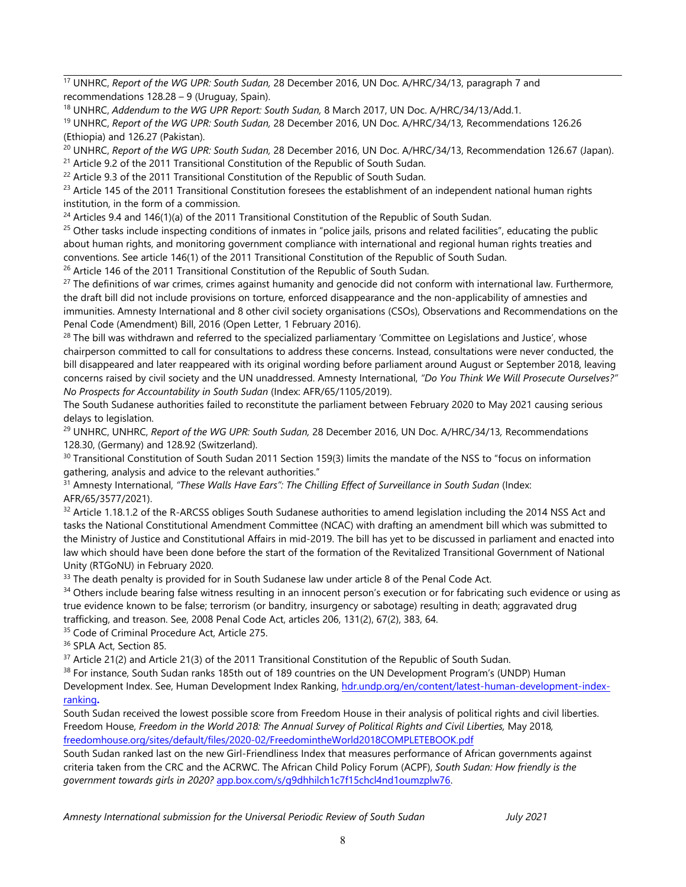17 UNHRC, *Report of the WG UPR: South Sudan,* 28 December 2016, UN Doc. A/HRC/34/13, paragraph 7 and recommendations 128.28 – 9 (Uruguay, Spain).

18 UNHRC, *Addendum to the WG UPR Report: South Sudan,* 8 March 2017, UN Doc. A/HRC/34/13/Add.1.

19 UNHRC, *Report of the WG UPR: South Sudan,* 28 December 2016, UN Doc. A/HRC/34/13*,* Recommendations 126.26 (Ethiopia) and 126.27 (Pakistan).

20 UNHRC, *Report of the WG UPR: South Sudan,* 28 December 2016, UN Doc. A/HRC/34/13, Recommendation 126.67 (Japan).

<sup>21</sup> Article 9.2 of the 2011 Transitional Constitution of the Republic of South Sudan.

 $22$  Article 9.3 of the 2011 Transitional Constitution of the Republic of South Sudan.

 $^{23}$  Article 145 of the 2011 Transitional Constitution foresees the establishment of an independent national human rights institution, in the form of <sup>a</sup> commission.

 $^{24}$  Articles 9.4 and 146(1)(a) of the 2011 Transitional Constitution of the Republic of South Sudan.

<sup>25</sup> Other tasks include inspecting conditions of inmates in "police jails, prisons and related facilities", educating the public about human rights, and monitoring governmen<sup>t</sup> compliance with international and regional human rights treaties and conventions. See article 146(1) of the 2011 Transitional Constitution of the Republic of South Sudan.

<sup>26</sup> Article 146 of the 2011 Transitional Constitution of the Republic of South Sudan.

<sup>27</sup> The definitions of war crimes, crimes against humanity and genocide did not conform with international law. Furthermore, the draft bill did not include provisions on torture, enforced disappearance and the non-applicability of amnesties and immunities. Amnesty International and 8 other civil society organisations (CSOs), Observations and Recommendations on the Penal Code (Amendment) Bill, 2016 (Open Letter, 1 February 2016).

<sup>28</sup> The bill was withdrawn and referred to the specialized parliamentary 'Committee on Legislations and Justice', whose chairperson committed to call for consultations to address these concerns. Instead, consultations were never conducted, the bill disappeared and later reappeared with its original wording before parliament around August or September 2018, leaving concerns raised by civil society and the UN unaddressed. Amnesty International, *"Do You Think We Will Prosecute Ourselves?" No Prospects for Accountability in South Sudan* (Index: AFR/65/1105/2019).

The South Sudanese authorities failed to reconstitute the parliament between February 2020 to May 2021 causing serious delays to legislation.

29 UNHRC, UNHRC, *Report of the WG UPR: South Sudan,* 28 December 2016, UN Doc. A/HRC/34/13*,* Recommendations 128.30, (Germany) and 128.92 (Switzerland).

 $\rm{^{30}}$  Transitional Constitution of South Sudan 2011 Section 159(3) limits the mandate of the NSS to "focus on information gathering, analysis and advice to the relevant authorities."

31 Amnesty International, *"These Walls Have Ears": The Chilling Effect of Surveillance in South Sudan* (Index: AFR/65/3577/2021).

 $^{32}$  Article 1.18.1.2 of the R-ARCSS obliges South Sudanese authorities to amend legislation including the 2014 NSS Act and tasks the National Constitutional Amendment Committee (NCAC) with drafting an amendment bill which was submitted to the Ministry of Justice and Constitutional Affairs in mid-2019. The bill has ye<sup>t</sup> to be discussed in parliament and enacted into law which should have been done before the start of the formation of the Revitalized Transitional Government of National Unity (RTGoNU) in February 2020.

 $^{33}$  The death penalty is provided for in South Sudanese law under article 8 of the Penal Code Act.

<sup>34</sup> Others include bearing false witness resulting in an innocent person's execution or for fabricating such evidence or using as true evidence known to be false; terrorism (or banditry, insurgency or sabotage) resulting in death; aggravated drug trafficking, and treason. See, 2008 Penal Code Act, articles 206, 131(2), 67(2), 383, 64.

<sup>35</sup> Code of Criminal Procedure Act, Article 275.

<sup>36</sup> SPLA Act, Section 85.

 $^{37}$  Article 21(2) and Article 21(3) of the 2011 Transitional Constitution of the Republic of South Sudan.

 $^{38}$  For instance, South Sudan ranks 185th out of 189 countries on the UN Development Program's (UNDP) Human

Development Index. See, Human Development Index Ranking, [hdr.undp.org/en/content/latest-human-development-index](http://hdr.undp.org/en/content/latest-human-development-index-ranking)[ranking](http://hdr.undp.org/en/content/latest-human-development-index-ranking)**.**

South Sudan received the lowest possible score from Freedom House in their analysis of political rights and civil liberties. Freedom House, *Freedom in the World 2018: The Annual Survey of Political Rights and Civil Liberties,* May 2018*,* [freedomhouse.org/sites/default/files/2020-02/FreedomintheWorld2018COMPLETEBOOK.pdf](https://freedomhouse.org/sites/default/files/2020-02/FreedomintheWorld2018COMPLETEBOOK.pdf)

South Sudan ranked last on the new Girl-Friendliness Index that measures performance of African governments against criteria taken from the CRC and the ACRWC. The African Child Policy Forum (ACPF), *South Sudan: How friendly is the governmen<sup>t</sup> towards girls in 2020?* [app.box.com/s/g9dhhilch1c7f15chcl4nd1oumzplw76](https://app.box.com/s/g9dhhilch1c7f15chcl4nd1oumzplw76).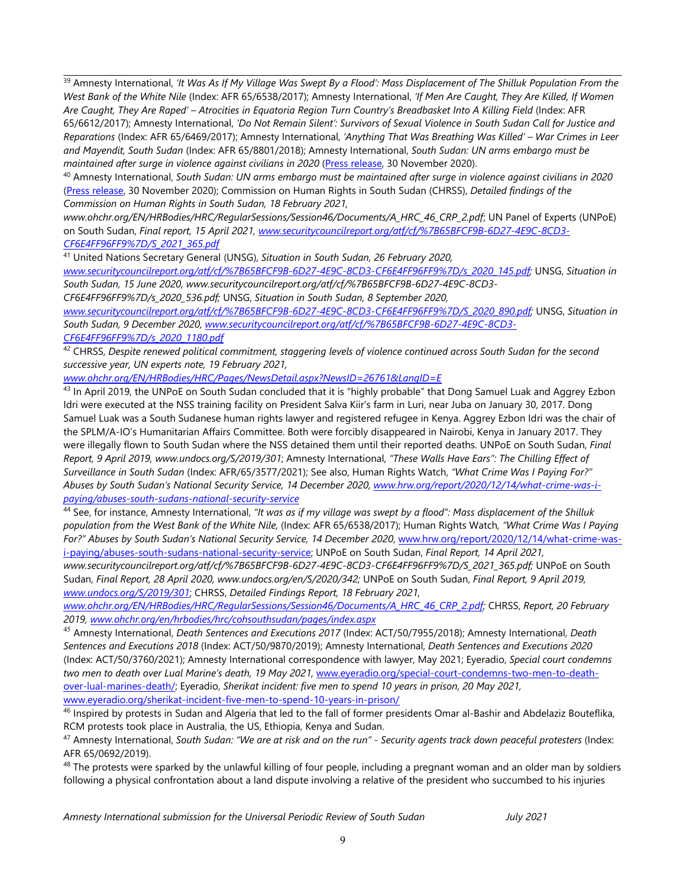<sup>39</sup> Amnesty International, 'It Was As If My Village Was Swept By a Flood': Mass Displacement of The Shilluk Population From the West Bank of the White Nile (Index: AFR 65/6538/2017); Amnesty International, 'If Men Are Caught, They Are Killed, If Women Are Caught, They Are Raped' - Atrocities in Equatoria Region Turn Country's Breadbasket Into A Killing Field (Index: AFR 65/6612/2017); Amnesty International, 'Do Not Remain Silent': Survivors of Sexual Violence in South Sudan Call for Justice and *Reparations* (Index: AFR 65/6469/2017); Amnesty International, *'Anything That Was Breathing Was Killed' – War Crimes in Leer and Mayendit, South Sudan* (Index: AFR 65/8801/2018); Amnesty International, *South Sudan: UN arms embargo must be maintained after surge in violence against civilians in 2020* (Press [release](https://www.amnesty.org/en/latest/news/2020/11/south-sudan-un-arms-embargo-must-be-maintained-after-surge-in-violence-against-civilians-in-2020/), 30 November 2020).

 $^{\rm 40}$  Amnesty International, South Sudan: UN arms embargo must be maintained after surge in violence against civilians in 2020 (Press [release](https://www.amnesty.org/en/latest/news/2020/11/south-sudan-un-arms-embargo-must-be-maintained-after-surge-in-violence-against-civilians-in-2020/), 30 November 2020); Commission on Human Rights in South Sudan (CHRSS), *Detailed findings of the Commission on Human Rights in South Sudan, 18 February 2021,*

*www.ohchr.org/EN/HRBodies/HRC/RegularSessions/Session46/Documents/A\_HRC\_46\_CRP\_2.pdf*; UN Panel of Experts (UNPoE) on South Sudan, *Final report, 15 April 2021, [www.securitycouncilreport.org/atf/cf/%7B65BFCF9B-6D27-4E9C-8CD3-](http://www.securitycouncilreport.org/atf/cf/%7B65BFCF9B-6D27-4E9C-8CD3-CF6E4FF96FF9%7D/S_2021_365.pdf) [CF6E4FF96FF9%7D/S\\_2021\\_365.pdf](http://www.securitycouncilreport.org/atf/cf/%7B65BFCF9B-6D27-4E9C-8CD3-CF6E4FF96FF9%7D/S_2021_365.pdf)*

41 United Nations Secretary General (UNSG), *Situation in South Sudan, 26 February 2020,*

*[www.securitycouncilreport.org/atf/cf/%7B65BFCF9B-6D27-4E9C-8CD3-CF6E4FF96FF9%7D/s\\_2020\\_145.pdf;](http://www.securitycouncilreport.org/atf/cf/%7B65BFCF9B-6D27-4E9C-8CD3-CF6E4FF96FF9%7D/s_2020_145.pdf)* UNSG, *Situation in South Sudan, 15 June 2020, www.securitycouncilreport.org/atf/cf/%7B65BFCF9B-6D27-4E9C-8CD3-*

*CF6E4FF96FF9%7D/s\_2020\_536.pdf;* UNSG, *Situation in South Sudan, 8 September 2020,*

*[www.securitycouncilreport.org/atf/cf/%7B65BFCF9B-6D27-4E9C-8CD3-CF6E4FF96FF9%7D/S\\_2020\\_890.pdf;](http://www.securitycouncilreport.org/atf/cf/%7B65BFCF9B-6D27-4E9C-8CD3-CF6E4FF96FF9%7D/S_2020_890.pdf)* UNSG, *Situation in South Sudan, 9 December 2020, [www.securitycouncilreport.org/atf/cf/%7B65BFCF9B-6D27-4E9C-8CD3-](http://www.securitycouncilreport.org/atf/cf/%7B65BFCF9B-6D27-4E9C-8CD3-CF6E4FF96FF9%7D/s_2020_1180.pdf) [CF6E4FF96FF9%7D/s\\_2020\\_1180.pdf](http://www.securitycouncilreport.org/atf/cf/%7B65BFCF9B-6D27-4E9C-8CD3-CF6E4FF96FF9%7D/s_2020_1180.pdf)*

 $^{42}$  CHRSS, Despite renewed political commitment, staggering levels of violence continued across South Sudan for the second *successive year, UN experts note, 19 February 2021,*

*[www.ohchr.org/EN/HRBodies/HRC/Pages/NewsDetail.aspx?NewsID=26761&LangID=E](http://www.ohchr.org/EN/HRBodies/HRC/Pages/NewsDetail.aspx?NewsID=26761&LangID=E)*

<sup>43</sup> In April 2019, the UNPoE on South Sudan concluded that it is "highly probable" that Dong Samuel Luak and Aggrey Ezbon Idri were executed at the NSS training facility on President Salva Kiir'<sup>s</sup> farm in Luri, near Juba on January 30, 2017. Dong Samuel Luak was <sup>a</sup> South Sudanese human rights lawyer and registered refugee in Kenya. Aggrey Ezbon Idri was the chair of the SPLM/A-IO'<sup>s</sup> Humanitarian Affairs Committee. Both were forcibly disappeared in Nairobi, Kenya in January 2017. They were illegally flown to South Sudan where the NSS detained them until their reported deaths. UNPoE on South Sudan, *Final* Report, 9 April 2019, www.undocs.org/S/2019/301; Amnesty International, "These Walls Have Ears": The Chilling Effect of *Surveillance in South Sudan* (Index: AFR/65/3577/2021); See also, Human Rights Watch, *"What Crime Was I Paying For?" Abuses by South Sudan'<sup>s</sup> National Security Service, 14 December 2020, [www.hrw.org/report/2020/12/14/what-crime-was-i](http://www.hrw.org/report/2020/12/14/what-crime-was-i-paying/abuses-south-sudans-national-security-service)[paying/abuses-south-sudans-national-security-service](http://www.hrw.org/report/2020/12/14/what-crime-was-i-paying/abuses-south-sudans-national-security-service)*

<sup>44</sup> See, for instance, Amnesty International, "It was as if my village was swept by a flood": Mass displacement of the Shilluk population from the West Bank of the White Nile, (Index: AFR 65/6538/2017); Human Rights Watch, "What Crime Was I Paying *For?" Abuses by South Sudan'<sup>s</sup> National Security Service, 14 December 2020*, [www.hrw.org/report/2020/12/14/what-crime-was](http://www.hrw.org/report/2020/12/14/what-crime-was-i-paying/abuses-south-sudans-national-security-service)[i-paying/abuses-south-sudans-national-security-service;](http://www.hrw.org/report/2020/12/14/what-crime-was-i-paying/abuses-south-sudans-national-security-service) UNPoE on South Sudan, *Final Report, 14 April 2021,*

*www.securitycouncilreport.org/atf/cf/%7B65BFCF9B-6D27-4E9C-8CD3-CF6E4FF96FF9%7D/S\_2021\_365.pdf;* UNPoE on South Sudan, *Final Report, 28 April 2020, www.undocs.org/en/S/2020/342;* UNPoE on South Sudan, *Final Report, 9 April 2019, [www.undocs.org/S/2019/301](http://www.undocs.org/S/2019/301)*; CHRSS, *Detailed Findings Report, 18 February 2021,*

*[www.ohchr.org/EN/HRBodies/HRC/RegularSessions/Session46/Documents/A\\_HRC\\_46\\_CRP\\_2.pdf;](http://www.ohchr.org/EN/HRBodies/HRC/RegularSessions/Session46/Documents/A_HRC_46_CRP_2.pdf)* CHRSS, *Report, 20 February 2019, [www.ohchr.org/en/hrbodies/hrc/cohsouthsudan/pages/index.aspx](http://www.ohchr.org/en/hrbodies/hrc/cohsouthsudan/pages/index.aspx)*

45 Amnesty International, *Death Sentences and Executions 2017* (Index: ACT/50/7955/2018); Amnesty International, *Death Sentences and Executions 2018* (Index: ACT/50/9870/2019); Amnesty International, *Death Sentences and Executions 2020* (Index: ACT/50/3760/2021); Amnesty International correspondence with lawyer, May 2021; Eyeradio, *Special court condemns two men to death over Lual Marine'<sup>s</sup> death, 19 May 2021,* [www.eyeradio.org/special-court-condemns-two-men-to-death](http://www.eyeradio.org/special-court-condemns-two-men-to-death-over-lual-marines-death/)[over-lual-marines-death/](http://www.eyeradio.org/special-court-condemns-two-men-to-death-over-lual-marines-death/); Eyeradio, *Sherikat incident: five men to spend 10 years in prison, 20 May 2021,* [www.eyeradio.org/sherikat-incident-five-men-to-spend-10-years-in-prison/](http://www.eyeradio.org/sherikat-incident-five-men-to-spend-10-years-in-prison/)

<sup>46</sup> Inspired by protests in Sudan and Algeria that led to the fall of former presidents Omar al-Bashir and Abdelaziz Bouteflika, RCM protests took place in Australia, the US, Ethiopia, Kenya and Sudan.

 $^{47}$  Amnesty International, South Sudan: "We are at risk and on the run" - Security agents track down peaceful protesters (Index: AFR 65/0692/2019).

 $^{48}$  The protests were sparked by the unlawful killing of four people, including a pregnant woman and an older man by soldiers following <sup>a</sup> physical confrontation about <sup>a</sup> land dispute involving <sup>a</sup> relative of the president who succumbed to his injuries